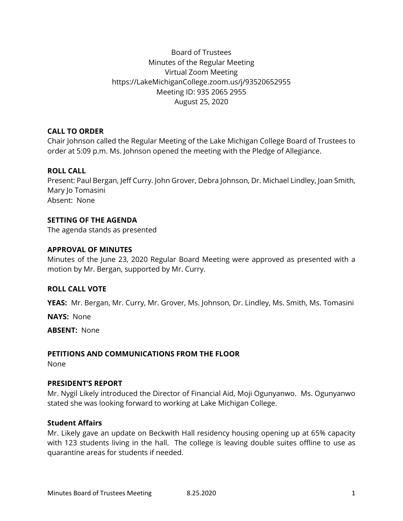# Board of Trustees Minutes of the Regular Meeting Virtual Zoom Meeting https://LakeMichiganCollege.zoom.us/j/93520652955 Meeting ID: 935 2065 2955 August 25, 2020

## **CALL TO ORDER**

Chair Johnson called the Regular Meeting of the Lake Michigan College Board of Trustees to order at 5:09 p.m. Ms. Johnson opened the meeting with the Pledge of Allegiance.

# **ROLL CALL**

Present: Paul Bergan, Jeff Curry. John Grover, Debra Johnson, Dr. Michael Lindley, Joan Smith, Mary Jo Tomasini Absent: None

## **SETTING OF THE AGENDA**

The agenda stands as presented

## **APPROVAL OF MINUTES**

Minutes of the June 23, 2020 Regular Board Meeting were approved as presented with a motion by Mr. Bergan, supported by Mr. Curry.

#### **ROLL CALL VOTE**

**YEAS:** Mr. Bergan, Mr. Curry, Mr. Grover, Ms. Johnson, Dr. Lindley, Ms. Smith, Ms. Tomasini

**NAYS:** None

**ABSENT:** None

#### **PETITIONS AND COMMUNICATIONS FROM THE FLOOR**

None

#### **PRESIDENT'S REPORT**

Mr. Nygil Likely introduced the Director of Financial Aid, Moji Ogunyanwo. Ms. Ogunyanwo stated she was looking forward to working at Lake Michigan College.

#### **Student Affairs**

Mr. Likely gave an update on Beckwith Hall residency housing opening up at 65% capacity with 123 students living in the hall. The college is leaving double suites offline to use as quarantine areas for students if needed.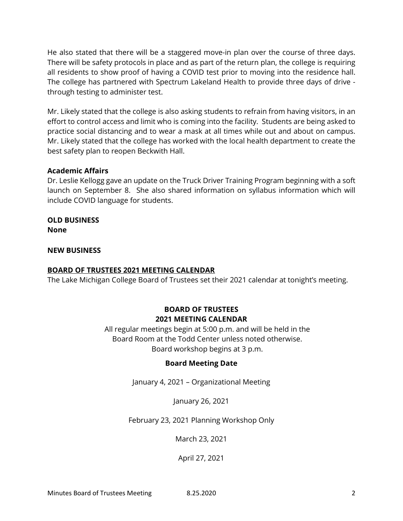He also stated that there will be a staggered move-in plan over the course of three days. There will be safety protocols in place and as part of the return plan, the college is requiring all residents to show proof of having a COVID test prior to moving into the residence hall. The college has partnered with Spectrum Lakeland Health to provide three days of drive through testing to administer test.

Mr. Likely stated that the college is also asking students to refrain from having visitors, in an effort to control access and limit who is coming into the facility. Students are being asked to practice social distancing and to wear a mask at all times while out and about on campus. Mr. Likely stated that the college has worked with the local health department to create the best safety plan to reopen Beckwith Hall.

# **Academic Affairs**

Dr. Leslie Kellogg gave an update on the Truck Driver Training Program beginning with a soft launch on September 8. She also shared information on syllabus information which will include COVID language for students.

**OLD BUSINESS None**

**NEW BUSINESS**

# **BOARD OF TRUSTEES 2021 MEETING CALENDAR**

The Lake Michigan College Board of Trustees set their 2021 calendar at tonight's meeting.

# **BOARD OF TRUSTEES 2021 MEETING CALENDAR**

All regular meetings begin at 5:00 p.m. and will be held in the Board Room at the Todd Center unless noted otherwise. Board workshop begins at 3 p.m.

# **Board Meeting Date**

January 4, 2021 – Organizational Meeting

January 26, 2021

# February 23, 2021 Planning Workshop Only

March 23, 2021

April 27, 2021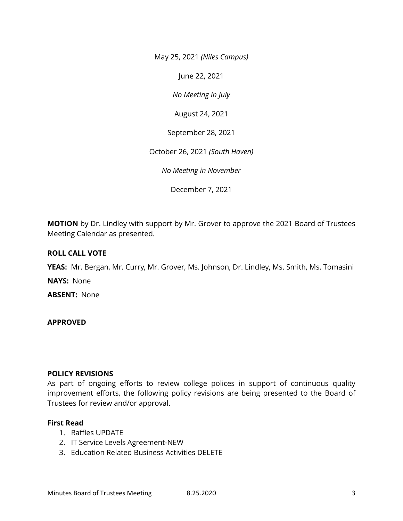May 25, 2021 *(Niles Campus)*

June 22, 2021

*No Meeting in July*

August 24, 2021

September 28, 2021

October 26, 2021 *(South Haven)*

*No Meeting in November*

December 7, 2021

**MOTION** by Dr. Lindley with support by Mr. Grover to approve the 2021 Board of Trustees Meeting Calendar as presented.

## **ROLL CALL VOTE**

**YEAS:** Mr. Bergan, Mr. Curry, Mr. Grover, Ms. Johnson, Dr. Lindley, Ms. Smith, Ms. Tomasini

**NAYS:** None

**ABSENT:** None

#### **APPROVED**

#### **POLICY REVISIONS**

As part of ongoing efforts to review college polices in support of continuous quality improvement efforts, the following policy revisions are being presented to the Board of Trustees for review and/or approval.

#### **First Read**

- 1. Raffles UPDATE
- 2. IT Service Levels Agreement-NEW
- 3. Education Related Business Activities DELETE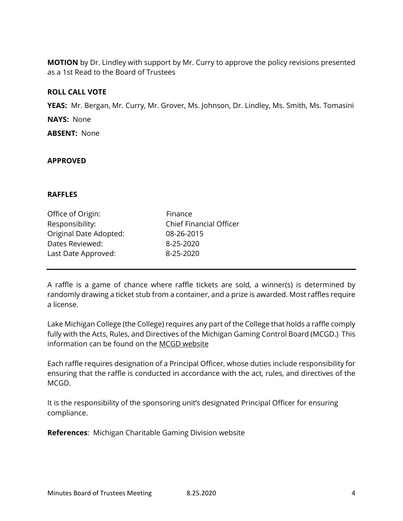**MOTION** by Dr. Lindley with support by Mr. Curry to approve the policy revisions presented as a 1st Read to the Board of Trustees

## **ROLL CALL VOTE**

**YEAS:** Mr. Bergan, Mr. Curry, Mr. Grover, Ms. Johnson, Dr. Lindley, Ms. Smith, Ms. Tomasini **NAYS:** None **ABSENT:** None

## **APPROVED**

#### **RAFFLES**

| Office of Origin:      | Finance                        |
|------------------------|--------------------------------|
| Responsibility:        | <b>Chief Financial Officer</b> |
| Original Date Adopted: | 08-26-2015                     |
| Dates Reviewed:        | 8-25-2020                      |
| Last Date Approved:    | 8-25-2020                      |
|                        |                                |

A raffle is a game of chance where raffle tickets are sold, a winner(s) is determined by randomly drawing a ticket stub from a container, and a prize is awarded. Most raffles require a license.

Lake Michigan College (the College) requires any part of the College that holds a raffle comply fully with the Acts, Rules, and Directives of the Michigan Gaming Control Board (MCGD.) This information can be found on the [MCGD website](https://www.michigan.gov/cg/0,9673,7-403-95973---,00.html)

Each raffle requires designation of a Principal Officer, whose duties include responsibility for ensuring that the raffle is conducted in accordance with the act, rules, and directives of the MCGD.

It is the responsibility of the sponsoring unit's designated Principal Officer for ensuring compliance.

**References**: Michigan Charitable Gaming Division website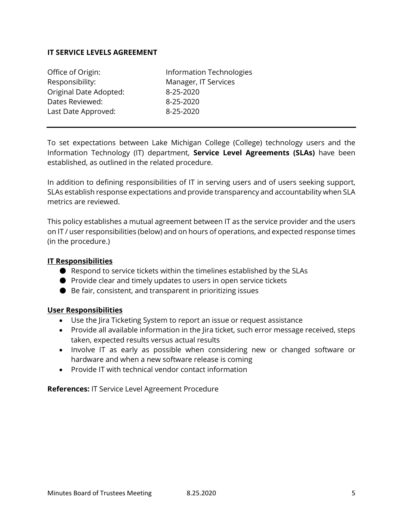# **IT SERVICE LEVELS AGREEMENT**

| Office of Origin:      | Information Technologies |  |
|------------------------|--------------------------|--|
| Responsibility:        | Manager, IT Services     |  |
| Original Date Adopted: | 8-25-2020                |  |
| Dates Reviewed:        | 8-25-2020                |  |
| Last Date Approved:    | 8-25-2020                |  |
|                        |                          |  |

To set expectations between Lake Michigan College (College) technology users and the Information Technology (IT) department, **Service Level Agreements (SLAs)** have been established, as outlined in the related procedure.

In addition to defining responsibilities of IT in serving users and of users seeking support, SLAs establish response expectations and provide transparency and accountability when SLA metrics are reviewed.

This policy establishes a mutual agreement between IT as the service provider and the users on IT / user responsibilities (below) and on hours of operations, and expected response times (in the procedure.)

## **IT Responsibilities**

- Respond to service tickets within the timelines established by the SLAs
- Provide clear and timely updates to users in open service tickets
- Be fair, consistent, and transparent in prioritizing issues

# **User Responsibilities**

- Use the Jira Ticketing System to report an issue or request assistance
- Provide all available information in the lira ticket, such error message received, steps taken, expected results versus actual results
- Involve IT as early as possible when considering new or changed software or hardware and when a new software release is coming
- Provide IT with technical vendor contact information

**References:** IT Service Level Agreement Procedure